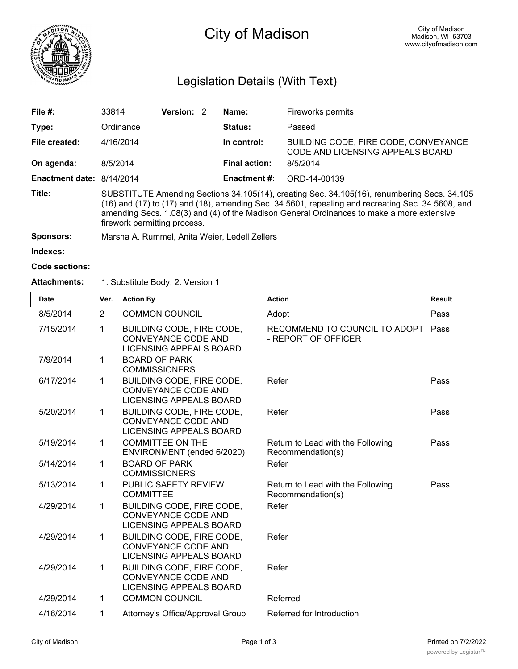

# City of Madison

# Legislation Details (With Text)

| File $#$ :                | 33814                                                                                                                                                                                                                                                                                                                                  | Version: 2 |  | Name:                | Fireworks permits                                                        |  |  |  |
|---------------------------|----------------------------------------------------------------------------------------------------------------------------------------------------------------------------------------------------------------------------------------------------------------------------------------------------------------------------------------|------------|--|----------------------|--------------------------------------------------------------------------|--|--|--|
| Type:                     | Ordinance                                                                                                                                                                                                                                                                                                                              |            |  | <b>Status:</b>       | Passed                                                                   |  |  |  |
| File created:             | 4/16/2014                                                                                                                                                                                                                                                                                                                              |            |  | In control:          | BUILDING CODE, FIRE CODE, CONVEYANCE<br>CODE AND LICENSING APPEALS BOARD |  |  |  |
| On agenda:                | 8/5/2014                                                                                                                                                                                                                                                                                                                               |            |  | <b>Final action:</b> | 8/5/2014                                                                 |  |  |  |
| Enactment date: 8/14/2014 |                                                                                                                                                                                                                                                                                                                                        |            |  | <b>Enactment #:</b>  | ORD-14-00139                                                             |  |  |  |
| Title:                    | SUBSTITUTE Amending Sections 34.105(14), creating Sec. 34.105(16), renumbering Secs. 34.105<br>$(16)$ and $(17)$ to $(17)$ and $(18)$ , amending Sec. 34.5601, repealing and recreating Sec. 34.5608, and<br>amending Secs. 1.08(3) and (4) of the Madison General Ordinances to make a more extensive<br>firework permitting process. |            |  |                      |                                                                          |  |  |  |
| <b>Sponsors:</b>          | Marsha A. Rummel, Anita Weier, Ledell Zellers                                                                                                                                                                                                                                                                                          |            |  |                      |                                                                          |  |  |  |

**Indexes:**

```
Code sections:
```
#### **Attachments:** 1. Substitute Body, 2. Version 1

| <b>Date</b> | Ver.           | <b>Action By</b>                                                                          | <b>Action</b>                                          | <b>Result</b> |
|-------------|----------------|-------------------------------------------------------------------------------------------|--------------------------------------------------------|---------------|
| 8/5/2014    | $\overline{2}$ | <b>COMMON COUNCIL</b>                                                                     | Adopt                                                  | Pass          |
| 7/15/2014   | 1              | BUILDING CODE, FIRE CODE,<br>CONVEYANCE CODE AND<br>LICENSING APPEALS BOARD               | RECOMMEND TO COUNCIL TO ADOPT<br>- REPORT OF OFFICER   | Pass          |
| 7/9/2014    | $\mathbf 1$    | <b>BOARD OF PARK</b><br><b>COMMISSIONERS</b>                                              |                                                        |               |
| 6/17/2014   | 1              | BUILDING CODE, FIRE CODE,<br><b>CONVEYANCE CODE AND</b><br>LICENSING APPEALS BOARD        | Refer                                                  | Pass          |
| 5/20/2014   | $\mathbf{1}$   | BUILDING CODE, FIRE CODE,<br><b>CONVEYANCE CODE AND</b><br><b>LICENSING APPEALS BOARD</b> | Refer                                                  | Pass          |
| 5/19/2014   | $\mathbf{1}$   | <b>COMMITTEE ON THE</b><br>ENVIRONMENT (ended 6/2020)                                     | Return to Lead with the Following<br>Recommendation(s) | Pass          |
| 5/14/2014   | $\mathbf 1$    | <b>BOARD OF PARK</b><br><b>COMMISSIONERS</b>                                              | Refer                                                  |               |
| 5/13/2014   | $\mathbf 1$    | PUBLIC SAFETY REVIEW<br><b>COMMITTEE</b>                                                  | Return to Lead with the Following<br>Recommendation(s) | Pass          |
| 4/29/2014   | 1              | <b>BUILDING CODE, FIRE CODE,</b><br>CONVEYANCE CODE AND<br><b>LICENSING APPEALS BOARD</b> | Refer                                                  |               |
| 4/29/2014   | $\mathbf{1}$   | <b>BUILDING CODE, FIRE CODE,</b><br><b>CONVEYANCE CODE AND</b><br>LICENSING APPEALS BOARD | Refer                                                  |               |
| 4/29/2014   | $\mathbf 1$    | BUILDING CODE, FIRE CODE,<br><b>CONVEYANCE CODE AND</b><br>LICENSING APPEALS BOARD        | Refer                                                  |               |
| 4/29/2014   | $\mathbf 1$    | <b>COMMON COUNCIL</b>                                                                     | Referred                                               |               |
| 4/16/2014   | 1              | Attorney's Office/Approval Group                                                          | Referred for Introduction                              |               |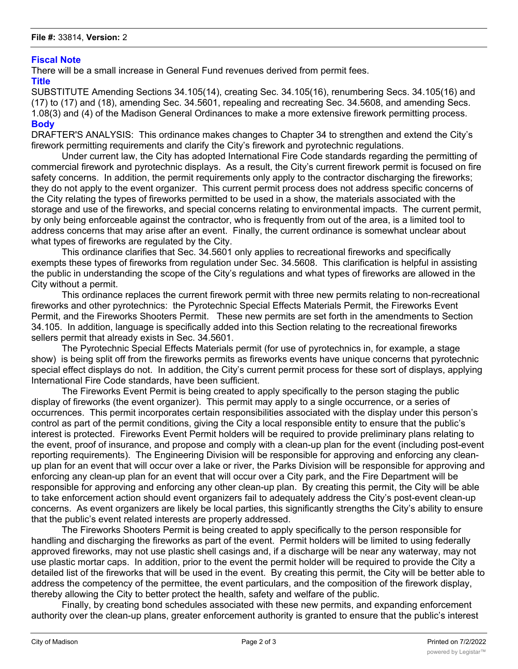## **Fiscal Note**

There will be a small increase in General Fund revenues derived from permit fees.

#### **Title**

SUBSTITUTE Amending Sections 34.105(14), creating Sec. 34.105(16), renumbering Secs. 34.105(16) and (17) to (17) and (18), amending Sec. 34.5601, repealing and recreating Sec. 34.5608, and amending Secs. 1.08(3) and (4) of the Madison General Ordinances to make a more extensive firework permitting process. **Body**

DRAFTER'S ANALYSIS: This ordinance makes changes to Chapter 34 to strengthen and extend the City's firework permitting requirements and clarify the City's firework and pyrotechnic regulations.

Under current law, the City has adopted International Fire Code standards regarding the permitting of commercial firework and pyrotechnic displays. As a result, the City's current firework permit is focused on fire safety concerns. In addition, the permit requirements only apply to the contractor discharging the fireworks; they do not apply to the event organizer. This current permit process does not address specific concerns of the City relating the types of fireworks permitted to be used in a show, the materials associated with the storage and use of the fireworks, and special concerns relating to environmental impacts. The current permit, by only being enforceable against the contractor, who is frequently from out of the area, is a limited tool to address concerns that may arise after an event. Finally, the current ordinance is somewhat unclear about what types of fireworks are regulated by the City.

This ordinance clarifies that Sec. 34.5601 only applies to recreational fireworks and specifically exempts these types of fireworks from regulation under Sec. 34.5608. This clarification is helpful in assisting the public in understanding the scope of the City's regulations and what types of fireworks are allowed in the City without a permit.

This ordinance replaces the current firework permit with three new permits relating to non-recreational fireworks and other pyrotechnics: the Pyrotechnic Special Effects Materials Permit, the Fireworks Event Permit, and the Fireworks Shooters Permit. These new permits are set forth in the amendments to Section 34.105. In addition, language is specifically added into this Section relating to the recreational fireworks sellers permit that already exists in Sec. 34.5601.

The Pyrotechnic Special Effects Materials permit (for use of pyrotechnics in, for example, a stage show) is being split off from the fireworks permits as fireworks events have unique concerns that pyrotechnic special effect displays do not. In addition, the City's current permit process for these sort of displays, applying International Fire Code standards, have been sufficient.

The Fireworks Event Permit is being created to apply specifically to the person staging the public display of fireworks (the event organizer). This permit may apply to a single occurrence, or a series of occurrences. This permit incorporates certain responsibilities associated with the display under this person's control as part of the permit conditions, giving the City a local responsible entity to ensure that the public's interest is protected. Fireworks Event Permit holders will be required to provide preliminary plans relating to the event, proof of insurance, and propose and comply with a clean-up plan for the event (including post-event reporting requirements). The Engineering Division will be responsible for approving and enforcing any cleanup plan for an event that will occur over a lake or river, the Parks Division will be responsible for approving and enforcing any clean-up plan for an event that will occur over a City park, and the Fire Department will be responsible for approving and enforcing any other clean-up plan. By creating this permit, the City will be able to take enforcement action should event organizers fail to adequately address the City's post-event clean-up concerns. As event organizers are likely be local parties, this significantly strengths the City's ability to ensure that the public's event related interests are properly addressed.

The Fireworks Shooters Permit is being created to apply specifically to the person responsible for handling and discharging the fireworks as part of the event. Permit holders will be limited to using federally approved fireworks, may not use plastic shell casings and, if a discharge will be near any waterway, may not use plastic mortar caps. In addition, prior to the event the permit holder will be required to provide the City a detailed list of the fireworks that will be used in the event. By creating this permit, the City will be better able to address the competency of the permittee, the event particulars, and the composition of the firework display, thereby allowing the City to better protect the health, safety and welfare of the public.

Finally, by creating bond schedules associated with these new permits, and expanding enforcement authority over the clean-up plans, greater enforcement authority is granted to ensure that the public's interest